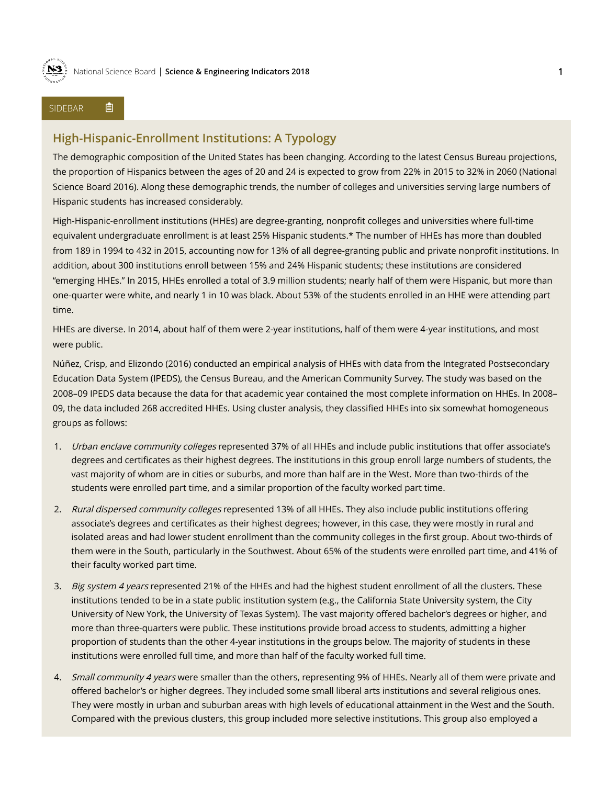

## SIDEBAR 自

## **High-Hispanic-Enrollment Institutions: A Typology**

The demographic composition of the United States has been changing. According to the latest Census Bureau projections, the proportion of Hispanics between the ages of 20 and 24 is expected to grow from 22% in 2015 to 32% in 2060 (National Science Board 2016). Along these demographic trends, the number of colleges and universities serving large numbers of Hispanic students has increased considerably.

High-Hispanic-enrollment institutions (HHEs) are degree-granting, nonprofit colleges and universities where full-time equivalent undergraduate enrollment is at least 25% Hispanic students.\* The number of HHEs has more than doubled from 189 in 1994 to 432 in 2015, accounting now for 13% of all degree-granting public and private nonprofit institutions. In addition, about 300 institutions enroll between 15% and 24% Hispanic students; these institutions are considered "emerging HHEs." In 2015, HHEs enrolled a total of 3.9 million students; nearly half of them were Hispanic, but more than one-quarter were white, and nearly 1 in 10 was black. About 53% of the students enrolled in an HHE were attending part time.

HHEs are diverse. In 2014, about half of them were 2-year institutions, half of them were 4-year institutions, and most were public.

Núñez, Crisp, and Elizondo (2016) conducted an empirical analysis of HHEs with data from the Integrated Postsecondary Education Data System (IPEDS), the Census Bureau, and the American Community Survey. The study was based on the 2008–09 IPEDS data because the data for that academic year contained the most complete information on HHEs. In 2008– 09, the data included 268 accredited HHEs. Using cluster analysis, they classified HHEs into six somewhat homogeneous groups as follows:

- 1. Urban enclave community colleges represented 37% of all HHEs and include public institutions that offer associate's degrees and certificates as their highest degrees. The institutions in this group enroll large numbers of students, the vast majority of whom are in cities or suburbs, and more than half are in the West. More than two-thirds of the students were enrolled part time, and a similar proportion of the faculty worked part time.
- 2. Rural dispersed community colleges represented 13% of all HHEs. They also include public institutions offering associate's degrees and certificates as their highest degrees; however, in this case, they were mostly in rural and isolated areas and had lower student enrollment than the community colleges in the first group. About two-thirds of them were in the South, particularly in the Southwest. About 65% of the students were enrolled part time, and 41% of their faculty worked part time.
- 3. Big system 4 years represented 21% of the HHEs and had the highest student enrollment of all the clusters. These institutions tended to be in a state public institution system (e.g., the California State University system, the City University of New York, the University of Texas System). The vast majority offered bachelor's degrees or higher, and more than three-quarters were public. These institutions provide broad access to students, admitting a higher proportion of students than the other 4-year institutions in the groups below. The majority of students in these institutions were enrolled full time, and more than half of the faculty worked full time.
- 4. Small community 4 years were smaller than the others, representing 9% of HHEs. Nearly all of them were private and offered bachelor's or higher degrees. They included some small liberal arts institutions and several religious ones. They were mostly in urban and suburban areas with high levels of educational attainment in the West and the South. Compared with the previous clusters, this group included more selective institutions. This group also employed a